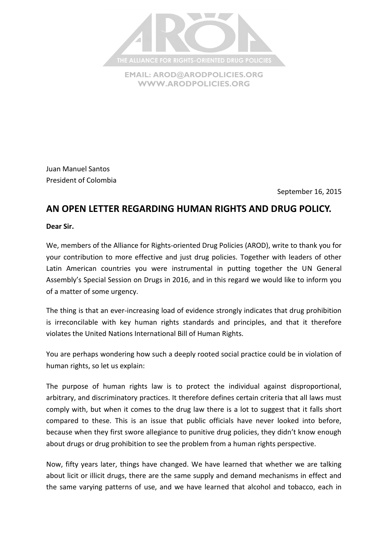

**EMAIL: [AROD@ARODPOLICIES.ORG](mailto:AROD@ARODPOLICIES.ORG) [WWW.ARODPOLICIES.ORG](http://www.arodpolicies.org/)**

Juan Manuel Santos President of Colombia

September 16, 2015

## **AN OPEN LETTER REGARDING HUMAN RIGHTS AND DRUG POLICY.**

**Dear Sir.**

We, members of the Alliance for Rights-oriented Drug Policies (AROD), write to thank you for your contribution to more effective and just drug policies. Together with leaders of other Latin American countries you were instrumental in putting together the UN General Assembly's Special Session on Drugs in 2016, and in this regard we would like to inform you of a matter of some urgency.

The thing is that an ever-increasing load of evidence strongly indicates that drug prohibition is irreconcilable with key human rights standards and principles, and that it therefore violates the United Nations International Bill of Human Rights.

You are perhaps wondering how such a deeply rooted social practice could be in violation of human rights, so let us explain:

The purpose of human rights law is to protect the individual against disproportional, arbitrary, and discriminatory practices. It therefore defines certain criteria that all laws must comply with, but when it comes to the drug law there is a lot to suggest that it falls short compared to these. This is an issue that public officials have never looked into before, because when they first swore allegiance to punitive drug policies, they didn't know enough about drugs or drug prohibition to see the problem from a human rights perspective.

Now, fifty years later, things have changed. We have learned that whether we are talking about licit or illicit drugs, there are the same supply and demand mechanisms in effect and the same varying patterns of use, and we have learned that alcohol and tobacco, each in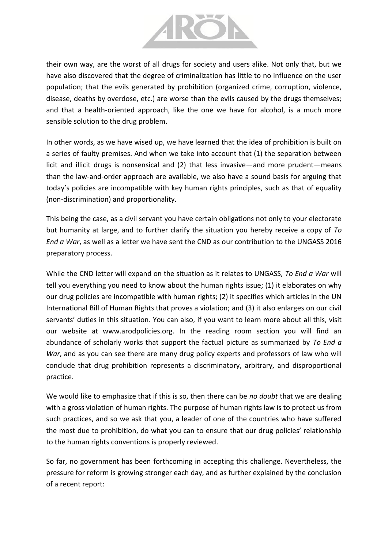

their own way, are the worst of all drugs for society and users alike. Not only that, but we have also discovered that the degree of criminalization has little to no influence on the user population; that the evils generated by prohibition (organized crime, corruption, violence, disease, deaths by overdose, etc.) are worse than the evils caused by the drugs themselves; and that a health-oriented approach, like the one we have for alcohol, is a much more sensible solution to the drug problem.

In other words, as we have wised up, we have learned that the idea of prohibition is built on a series of faulty premises. And when we take into account that (1) the separation between licit and illicit drugs is nonsensical and (2) that less invasive—and more prudent—means than the law-and-order approach are available, we also have a sound basis for arguing that today's policies are incompatible with key human rights principles, such as that of equality (non-discrimination) and proportionality.

This being the case, as a civil servant you have certain obligations not only to your electorate but humanity at large, and to further clarify the situation you hereby receive a copy of *To End a War*, as well as a letter we have sent the CND as our contribution to the UNGASS 2016 preparatory process.

While the CND letter will expand on the situation as it relates to UNGASS, *To End a War* will tell you everything you need to know about the human rights issue; (1) it elaborates on why our drug policies are incompatible with human rights; (2) it specifies which articles in the UN International Bill of Human Rights that proves a violation; and (3) it also enlarges on our civil servants' duties in this situation. You can also, if you want to learn more about all this, visit our website at www.arodpolicies.org. In the reading room section you will find an abundance of scholarly works that support the factual picture as summarized by *To End a War*, and as you can see there are many drug policy experts and professors of law who will conclude that drug prohibition represents a discriminatory, arbitrary, and disproportional practice.

We would like to emphasize that if this is so, then there can be *no doubt* that we are dealing with a gross violation of human rights. The purpose of human rights law is to protect us from such practices, and so we ask that you, a leader of one of the countries who have suffered the most due to prohibition, do what you can to ensure that our drug policies' relationship to the human rights conventions is properly reviewed.

So far, no government has been forthcoming in accepting this challenge. Nevertheless, the pressure for reform is growing stronger each day, and as further explained by the conclusion of a recent report: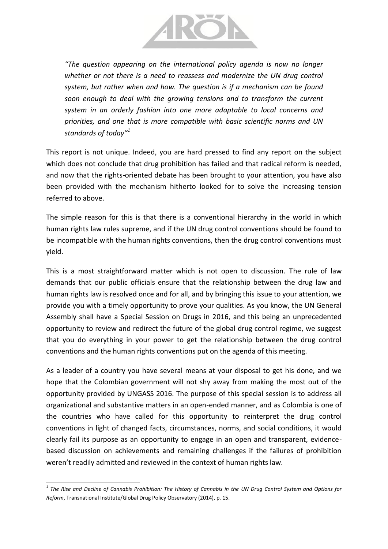

*"The question appearing on the international policy agenda is now no longer whether or not there is a need to reassess and modernize the UN drug control system, but rather when and how. The question is if a mechanism can be found soon enough to deal with the growing tensions and to transform the current system in an orderly fashion into one more adaptable to local concerns and priorities, and one that is more compatible with basic scientific norms and UN standards of today"<sup>1</sup>*

This report is not unique. Indeed, you are hard pressed to find any report on the subject which does not conclude that drug prohibition has failed and that radical reform is needed, and now that the rights-oriented debate has been brought to your attention, you have also been provided with the mechanism hitherto looked for to solve the increasing tension referred to above.

The simple reason for this is that there is a conventional hierarchy in the world in which human rights law rules supreme, and if the UN drug control conventions should be found to be incompatible with the human rights conventions, then the drug control conventions must yield.

This is a most straightforward matter which is not open to discussion. The rule of law demands that our public officials ensure that the relationship between the drug law and human rights law is resolved once and for all, and by bringing this issue to your attention, we provide you with a timely opportunity to prove your qualities. As you know, the UN General Assembly shall have a Special Session on Drugs in 2016, and this being an unprecedented opportunity to review and redirect the future of the global drug control regime, we suggest that you do everything in your power to get the relationship between the drug control conventions and the human rights conventions put on the agenda of this meeting.

As a leader of a country you have several means at your disposal to get his done, and we hope that the Colombian government will not shy away from making the most out of the opportunity provided by UNGASS 2016. The purpose of this special session is to address all organizational and substantive matters in an open-ended manner, and as Colombia is one of the countries who have called for this opportunity to reinterpret the drug control conventions in light of changed facts, circumstances, norms, and social conditions, it would clearly fail its purpose as an opportunity to engage in an open and transparent, evidencebased discussion on achievements and remaining challenges if the failures of prohibition weren't readily admitted and reviewed in the context of human rights law.

 $\overline{a}$ 

<sup>&</sup>lt;sup>1</sup> The Rise and Decline of Cannabis Prohibition: The History of Cannabis in the UN Drug Control System and Options for *Reform*, Transnational Institute/Global Drug Policy Observatory (2014), p. 15.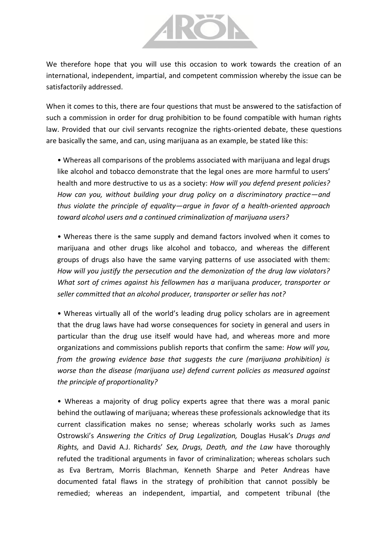

We therefore hope that you will use this occasion to work towards the creation of an international, independent, impartial, and competent commission whereby the issue can be satisfactorily addressed.

When it comes to this, there are four questions that must be answered to the satisfaction of such a commission in order for drug prohibition to be found compatible with human rights law. Provided that our civil servants recognize the rights-oriented debate, these questions are basically the same, and can, using marijuana as an example, be stated like this:

• Whereas all comparisons of the problems associated with marijuana and legal drugs like alcohol and tobacco demonstrate that the legal ones are more harmful to users' health and more destructive to us as a society: *How will you defend present policies? How can you, without building your drug policy on a discriminatory practice—and thus violate the principle of equality—argue in favor of a health-oriented approach toward alcohol users and a continued criminalization of marijuana users?*

• Whereas there is the same supply and demand factors involved when it comes to marijuana and other drugs like alcohol and tobacco, and whereas the different groups of drugs also have the same varying patterns of use associated with them: *How will you justify the persecution and the demonization of the drug law violators? What sort of crimes against his fellowmen has a* marijuana *producer, transporter or seller committed that an alcohol producer, transporter or seller has not?*

• Whereas virtually all of the world's leading drug policy scholars are in agreement that the drug laws have had worse consequences for society in general and users in particular than the drug use itself would have had, and whereas more and more organizations and commissions publish reports that confirm the same: *How will you, from the growing evidence base that suggests the cure (marijuana prohibition) is worse than the disease (marijuana use) defend current policies as measured against the principle of proportionality?*

• Whereas a majority of drug policy experts agree that there was a moral panic behind the outlawing of marijuana; whereas these professionals acknowledge that its current classification makes no sense; whereas scholarly works such as James Ostrowski's *Answering the Critics of Drug Legalization,* Douglas Husak's *Drugs and Rights,* and David A.J. Richards' *Sex, Drugs, Death, and the Law* have thoroughly refuted the traditional arguments in favor of criminalization; whereas scholars such as Eva Bertram, Morris Blachman, Kenneth Sharpe and Peter Andreas have documented fatal flaws in the strategy of prohibition that cannot possibly be remedied; whereas an independent, impartial, and competent tribunal (the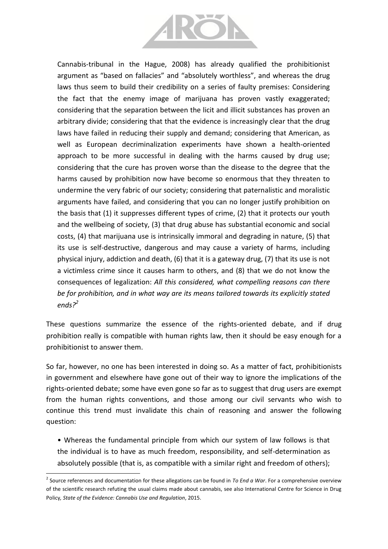

Cannabis-tribunal in the Hague, 2008) has already qualified the prohibitionist argument as "based on fallacies" and "absolutely worthless", and whereas the drug laws thus seem to build their credibility on a series of faulty premises: Considering the fact that the enemy image of marijuana has proven vastly exaggerated; considering that the separation between the licit and illicit substances has proven an arbitrary divide; considering that that the evidence is increasingly clear that the drug laws have failed in reducing their supply and demand; considering that American, as well as European decriminalization experiments have shown a health-oriented approach to be more successful in dealing with the harms caused by drug use; considering that the cure has proven worse than the disease to the degree that the harms caused by prohibition now have become so enormous that they threaten to undermine the very fabric of our society; considering that paternalistic and moralistic arguments have failed, and considering that you can no longer justify prohibition on the basis that (1) it suppresses different types of crime, (2) that it protects our youth and the wellbeing of society, (3) that drug abuse has substantial economic and social costs, (4) that marijuana use is intrinsically immoral and degrading in nature, (5) that its use is self-destructive, dangerous and may cause a variety of harms, including physical injury, addiction and death, (6) that it is a gateway drug, (7) that its use is not a victimless crime since it causes harm to others, and (8) that we do not know the consequences of legalization: *All this considered, what compelling reasons can there be for prohibition, and in what way are its means tailored towards its explicitly stated ends?<sup>2</sup>*

These questions summarize the essence of the rights-oriented debate, and if drug prohibition really is compatible with human rights law, then it should be easy enough for a prohibitionist to answer them.

So far, however, no one has been interested in doing so. As a matter of fact, prohibitionists in government and elsewhere have gone out of their way to ignore the implications of the rights-oriented debate; some have even gone so far as to suggest that drug users are exempt from the human rights conventions, and those among our civil servants who wish to continue this trend must invalidate this chain of reasoning and answer the following question:

• Whereas the fundamental principle from which our system of law follows is that the individual is to have as much freedom, responsibility, and self-determination as absolutely possible (that is, as compatible with a similar right and freedom of others);

 $\overline{a}$ 

<sup>2</sup> Source references and documentation for these allegations can be found in *To End a War*. For a comprehensive overview of the scientific research refuting the usual claims made about cannabis, see also International Centre for Science in Drug Policy*, State of the Evidence: Cannabis Use and Regulation*, 2015.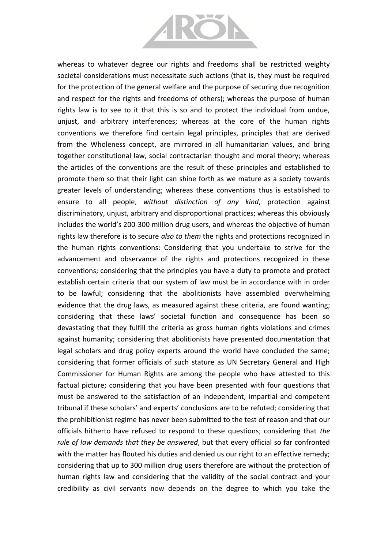

whereas to whatever degree our rights and freedoms shall be restricted weighty societal considerations must necessitate such actions (that is, they must be required for the protection of the general welfare and the purpose of securing due recognition and respect for the rights and freedoms of others); whereas the purpose of human rights law is to see to it that this is so and to protect the individual from undue, unjust, and arbitrary interferences; whereas at the core of the human rights conventions we therefore find certain legal principles, principles that are derived from the Wholeness concept, are mirrored in all humanitarian values, and bring together constitutional law, social contractarian thought and moral theory; whereas the articles of the conventions are the result of these principles and established to promote them so that their light can shine forth as we mature as a society towards greater levels of understanding; whereas these conventions thus is established to ensure to all people, *without distinction of any kind*, protection against discriminatory, unjust, arbitrary and disproportional practices; whereas this obviously includes the world's 200-300 million drug users, and whereas the objective of human rights law therefore is to secure *also to them* the rights and protections recognized in the human rights conventions: Considering that you undertake to strive for the advancement and observance of the rights and protections recognized in these conventions; considering that the principles you have a duty to promote and protect establish certain criteria that our system of law must be in accordance with in order to be lawful; considering that the abolitionists have assembled overwhelming evidence that the drug laws, as measured against these criteria, are found wanting; considering that these laws' societal function and consequence has been so devastating that they fulfill the criteria as gross human rights violations and crimes against humanity; considering that abolitionists have presented documentation that legal scholars and drug policy experts around the world have concluded the same; considering that former officials of such stature as UN Secretary General and High Commissioner for Human Rights are among the people who have attested to this factual picture; considering that you have been presented with four questions that must be answered to the satisfaction of an independent, impartial and competent tribunal if these scholars' and experts' conclusions are to be refuted; considering that the prohibitionist regime has never been submitted to the test of reason and that our officials hitherto have refused to respond to these questions; considering that *the rule of law demands that they be answered*, but that every official so far confronted with the matter has flouted his duties and denied us our right to an effective remedy; considering that up to 300 million drug users therefore are without the protection of human rights law and considering that the validity of the social contract and your credibility as civil servants now depends on the degree to which you take the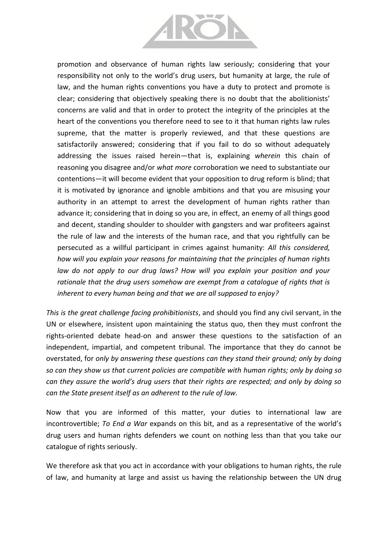

promotion and observance of human rights law seriously; considering that your responsibility not only to the world's drug users, but humanity at large, the rule of law, and the human rights conventions you have a duty to protect and promote is clear; considering that objectively speaking there is no doubt that the abolitionists' concerns are valid and that in order to protect the integrity of the principles at the heart of the conventions you therefore need to see to it that human rights law rules supreme, that the matter is properly reviewed, and that these questions are satisfactorily answered; considering that if you fail to do so without adequately addressing the issues raised herein—that is, explaining *wherein* this chain of reasoning you disagree and/or *what more* corroboration we need to substantiate our contentions—it will become evident that your opposition to drug reform is blind; that it is motivated by ignorance and ignoble ambitions and that you are misusing your authority in an attempt to arrest the development of human rights rather than advance it; considering that in doing so you are, in effect, an enemy of all things good and decent, standing shoulder to shoulder with gangsters and war profiteers against the rule of law and the interests of the human race, and that you rightfully can be persecuted as a willful participant in crimes against humanity: *All this considered, how will you explain your reasons for maintaining that the principles of human rights*  law do not apply to our drug laws? How will you explain your position and your *rationale that the drug users somehow are exempt from a catalogue of rights that is inherent to every human being and that we are all supposed to enjoy?*

*This is the great challenge facing prohibitionists*, and should you find any civil servant, in the UN or elsewhere, insistent upon maintaining the status quo, then they must confront the rights-oriented debate head-on and answer these questions to the satisfaction of an independent, impartial, and competent tribunal. The importance that they do cannot be overstated, for *only by answering these questions can they stand their ground; only by doing so can they show us that current policies are compatible with human rights; only by doing so can they assure the world's drug users that their rights are respected; and only by doing so can the State present itself as an adherent to the rule of law.*

Now that you are informed of this matter, your duties to international law are incontrovertible; *To End a War* expands on this bit, and as a representative of the world's drug users and human rights defenders we count on nothing less than that you take our catalogue of rights seriously.

We therefore ask that you act in accordance with your obligations to human rights, the rule of law, and humanity at large and assist us having the relationship between the UN drug